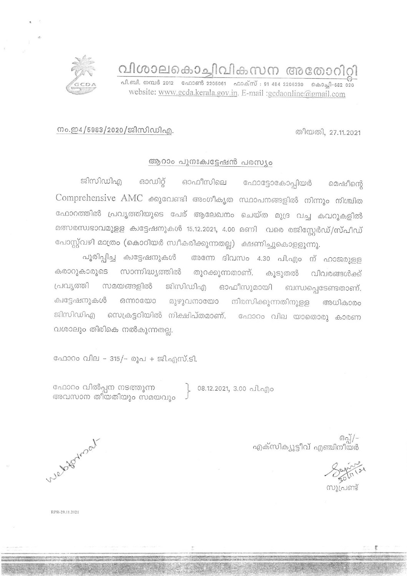വിശാലകൊച്ചിവികസന അതോറിറ്റി

.<br>പി.ബി. നമ്പർ 2012 - ഫോൺ 2205061 - ഫാക്സ് : 91 484 2206230 - കൊച്ചി-682 020 website: www.gcda.kerala.gov.in. E-mail :gcdaonline@gmail.com

നം.ഇ4/5983/2020/ജിസിഡിഎ.

തീയതി, 27.11.2021

## ആറാം പുനഃക്വട്ടേഷൻ പരസ്യം

ഓഡിറ്റ് ഓഫീസിലെ ഫോട്ടോകോപ്പിയർ ജിസിഡിഎ മെഷീന്റെ Comprehensive AMC ക്കുവേണ്ടി അംഗീകൃത സ്ഥാപനങ്ങളിൽ നിന്നും നിശ്ചിത ഫോറത്തിൽ പ്രവൃത്തിയുടെ പേര് ആലേഖനം ചെയ്ത മുദ്ര വച്ച കവറുകളിൽ മത്സരസ്വഭാവമുളള ക്വട്ടേഷനുകൾ 15.12.2021, 4.00 മണി വരെ രജിസ്റ്റേർഡ്/സ്പീഡ് പോസ്റ്റ്വഴി മാത്രം (കൊറിയർ സ്വീകരിക്കുന്നതല്ല) ക്ഷണിച്ചുകൊളളുന്നു.

പൂരിപ്പിച്ച ക്വട്ടേഷനുകൾ അന്നേ ദിവസം 4.30 പി.എം ന് ഹാജരുളള കരാറുകാരുടെ സാന്നിദ്ധ്യത്തിൽ തുറക്കുന്നതാണ്. കൂടുതൽ വിവരങ്ങൾക്ക് പ്രവൃത്തി സമയങ്ങളിൽ ജിസിഡിഎ ഓഫീസുമായി ബന്ധപ്പെടേണ്ടതാണ്. ക്വട്ടേഷനുകൾ ഒന്നായോ മുഴുവനായോ നിരസിക്കുന്നതിനുളള അധികാരം ജിസിഡിഎ സെക്രട്ടറിയിൽ നിക്ഷിപ്തമാണ്. ഫോറം വില യാതൊരു കാരണ വശാലും തിരികെ നൽകുന്നതല്ല.

ഫോറം വില - 315/- രൂപ + ജി.എസ്.ടി.

ഫോറം വിൽപ്പന നടത്തുന്ന അവസാന തീയതിയും സമയവും

08.12.2021, 3.00 പി.എo

-/[ഒരു<br>ഐക്സിക്യുട്ടീവ് എഞ്ചിനീയർ

ง)เ่ฌตาร้

Webstatroat

RPR-29.11.2021